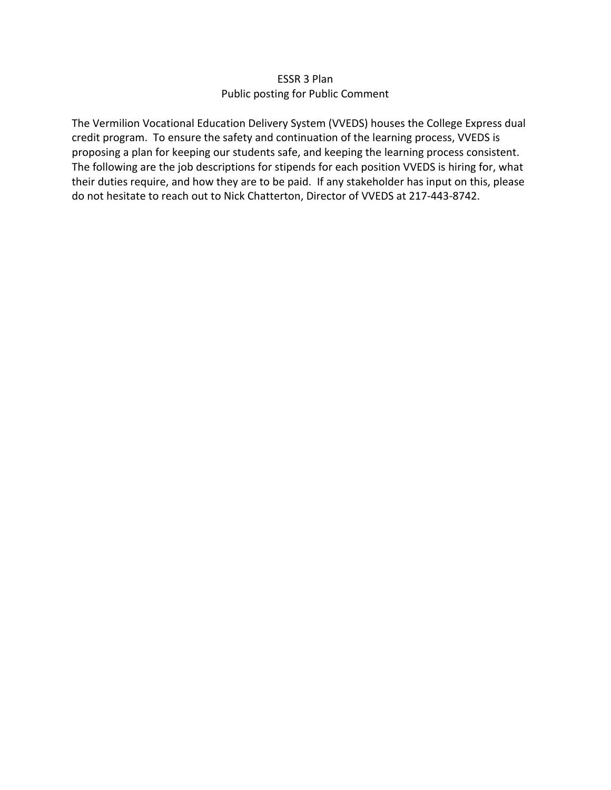### ESSR 3 Plan Public posting for Public Comment

The Vermilion Vocational Education Delivery System (VVEDS) houses the College Express dual credit program. To ensure the safety and continuation of the learning process, VVEDS is proposing a plan for keeping our students safe, and keeping the learning process consistent. The following are the job descriptions for stipends for each position VVEDS is hiring for, what their duties require, and how they are to be paid. If any stakeholder has input on this, please do not hesitate to reach out to Nick Chatterton, Director of VVEDS at 217‐443‐8742.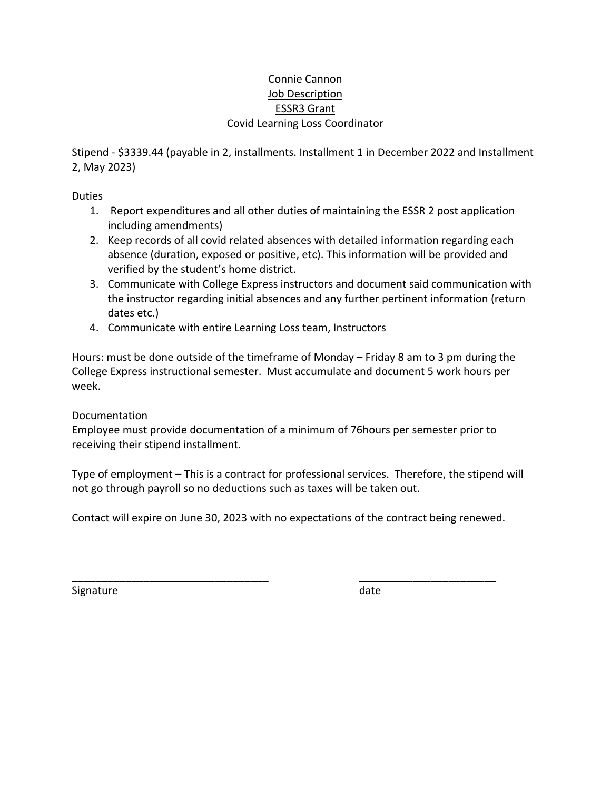## Connie Cannon Job Description ESSR3 Grant Covid Learning Loss Coordinator

Stipend ‐ \$3339.44 (payable in 2, installments. Installment 1 in December 2022 and Installment 2, May 2023)

Duties

- 1. Report expenditures and all other duties of maintaining the ESSR 2 post application including amendments)
- 2. Keep records of all covid related absences with detailed information regarding each absence (duration, exposed or positive, etc). This information will be provided and verified by the student's home district.
- 3. Communicate with College Express instructors and document said communication with the instructor regarding initial absences and any further pertinent information (return dates etc.)
- 4. Communicate with entire Learning Loss team, Instructors

Hours: must be done outside of the timeframe of Monday – Friday 8 am to 3 pm during the College Express instructional semester. Must accumulate and document 5 work hours per week.

# Documentation

Employee must provide documentation of a minimum of 76hours per semester prior to receiving their stipend installment.

Type of employment – This is a contract for professional services. Therefore, the stipend will not go through payroll so no deductions such as taxes will be taken out.

Contact will expire on June 30, 2023 with no expectations of the contract being renewed.

\_\_\_\_\_\_\_\_\_\_\_\_\_\_\_\_\_\_\_\_\_\_\_\_\_\_\_\_\_\_\_\_\_ \_\_\_\_\_\_\_\_\_\_\_\_\_\_\_\_\_\_\_\_\_\_\_

Signature **by a struck of the struck of the struck of the struck of the struck of the struck of the struck of the struck of the struck of the struck of the struck of the struck of the struck of the struck of the struck of**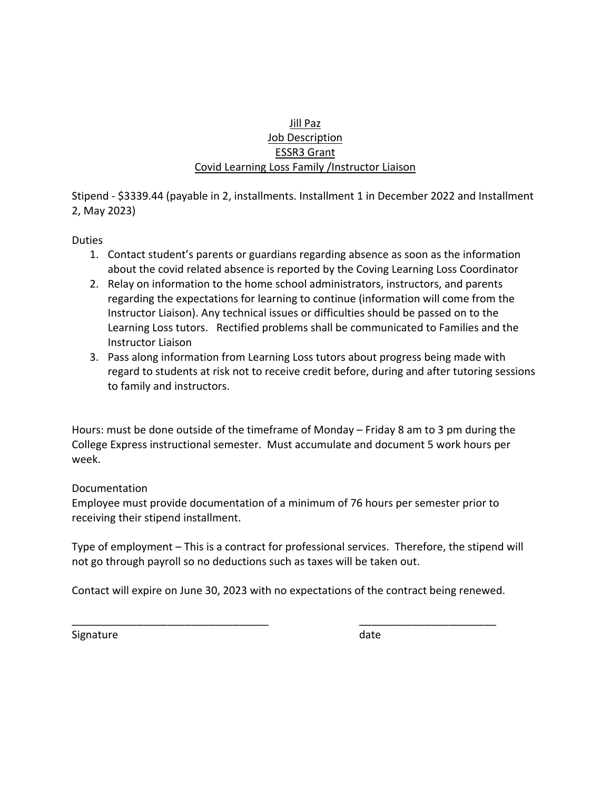## Jill Paz Job Description ESSR3 Grant Covid Learning Loss Family /Instructor Liaison

Stipend ‐ \$3339.44 (payable in 2, installments. Installment 1 in December 2022 and Installment 2, May 2023)

Duties

- 1. Contact student's parents or guardians regarding absence as soon as the information about the covid related absence is reported by the Coving Learning Loss Coordinator
- 2. Relay on information to the home school administrators, instructors, and parents regarding the expectations for learning to continue (information will come from the Instructor Liaison). Any technical issues or difficulties should be passed on to the Learning Loss tutors. Rectified problems shall be communicated to Families and the Instructor Liaison
- 3. Pass along information from Learning Loss tutors about progress being made with regard to students at risk not to receive credit before, during and after tutoring sessions to family and instructors.

Hours: must be done outside of the timeframe of Monday – Friday 8 am to 3 pm during the College Express instructional semester. Must accumulate and document 5 work hours per week.

# Documentation

Employee must provide documentation of a minimum of 76 hours per semester prior to receiving their stipend installment.

Type of employment – This is a contract for professional services. Therefore, the stipend will not go through payroll so no deductions such as taxes will be taken out.

Contact will expire on June 30, 2023 with no expectations of the contract being renewed.

\_\_\_\_\_\_\_\_\_\_\_\_\_\_\_\_\_\_\_\_\_\_\_\_\_\_\_\_\_\_\_\_\_ \_\_\_\_\_\_\_\_\_\_\_\_\_\_\_\_\_\_\_\_\_\_\_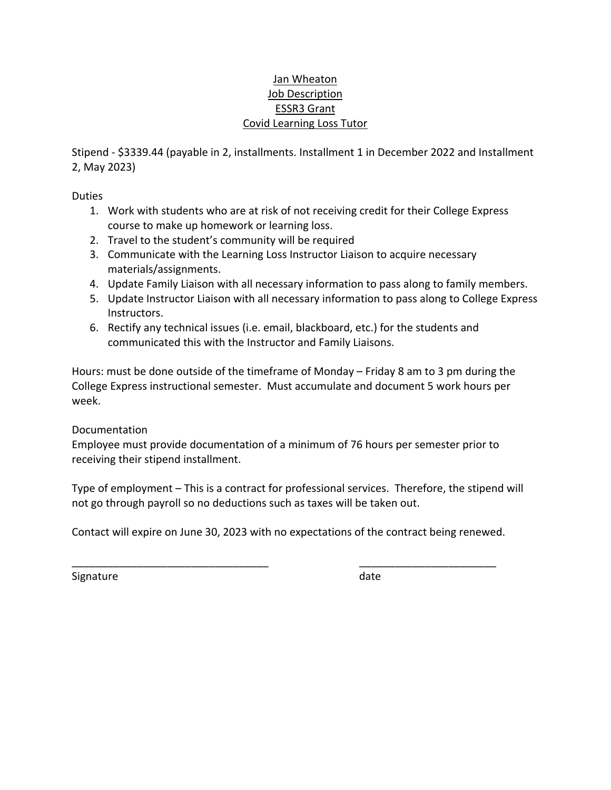### Jan Wheaton Job Description ESSR3 Grant Covid Learning Loss Tutor

Stipend ‐ \$3339.44 (payable in 2, installments. Installment 1 in December 2022 and Installment 2, May 2023)

Duties

- 1. Work with students who are at risk of not receiving credit for their College Express course to make up homework or learning loss.
- 2. Travel to the student's community will be required
- 3. Communicate with the Learning Loss Instructor Liaison to acquire necessary materials/assignments.
- 4. Update Family Liaison with all necessary information to pass along to family members.
- 5. Update Instructor Liaison with all necessary information to pass along to College Express Instructors.
- 6. Rectify any technical issues (i.e. email, blackboard, etc.) for the students and communicated this with the Instructor and Family Liaisons.

Hours: must be done outside of the timeframe of Monday – Friday 8 am to 3 pm during the College Express instructional semester. Must accumulate and document 5 work hours per week.

# Documentation

Employee must provide documentation of a minimum of 76 hours per semester prior to receiving their stipend installment.

Type of employment – This is a contract for professional services. Therefore, the stipend will not go through payroll so no deductions such as taxes will be taken out.

Contact will expire on June 30, 2023 with no expectations of the contract being renewed.

\_\_\_\_\_\_\_\_\_\_\_\_\_\_\_\_\_\_\_\_\_\_\_\_\_\_\_\_\_\_\_\_\_ \_\_\_\_\_\_\_\_\_\_\_\_\_\_\_\_\_\_\_\_\_\_\_

Signature date and the state of the state date of the state date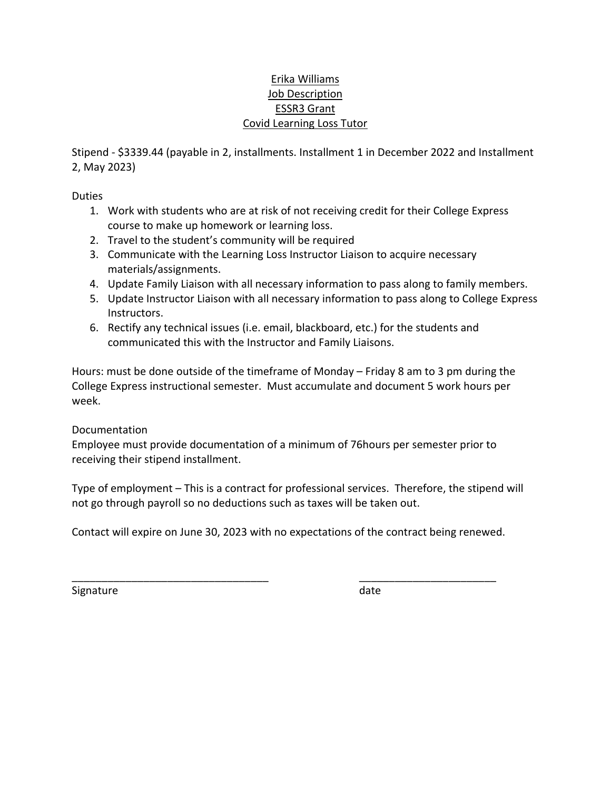## Erika Williams Job Description ESSR3 Grant Covid Learning Loss Tutor

Stipend ‐ \$3339.44 (payable in 2, installments. Installment 1 in December 2022 and Installment 2, May 2023)

Duties

- 1. Work with students who are at risk of not receiving credit for their College Express course to make up homework or learning loss.
- 2. Travel to the student's community will be required
- 3. Communicate with the Learning Loss Instructor Liaison to acquire necessary materials/assignments.
- 4. Update Family Liaison with all necessary information to pass along to family members.
- 5. Update Instructor Liaison with all necessary information to pass along to College Express Instructors.
- 6. Rectify any technical issues (i.e. email, blackboard, etc.) for the students and communicated this with the Instructor and Family Liaisons.

Hours: must be done outside of the timeframe of Monday – Friday 8 am to 3 pm during the College Express instructional semester. Must accumulate and document 5 work hours per week.

# Documentation

Employee must provide documentation of a minimum of 76hours per semester prior to receiving their stipend installment.

Type of employment – This is a contract for professional services. Therefore, the stipend will not go through payroll so no deductions such as taxes will be taken out.

Contact will expire on June 30, 2023 with no expectations of the contract being renewed.

\_\_\_\_\_\_\_\_\_\_\_\_\_\_\_\_\_\_\_\_\_\_\_\_\_\_\_\_\_\_\_\_\_ \_\_\_\_\_\_\_\_\_\_\_\_\_\_\_\_\_\_\_\_\_\_\_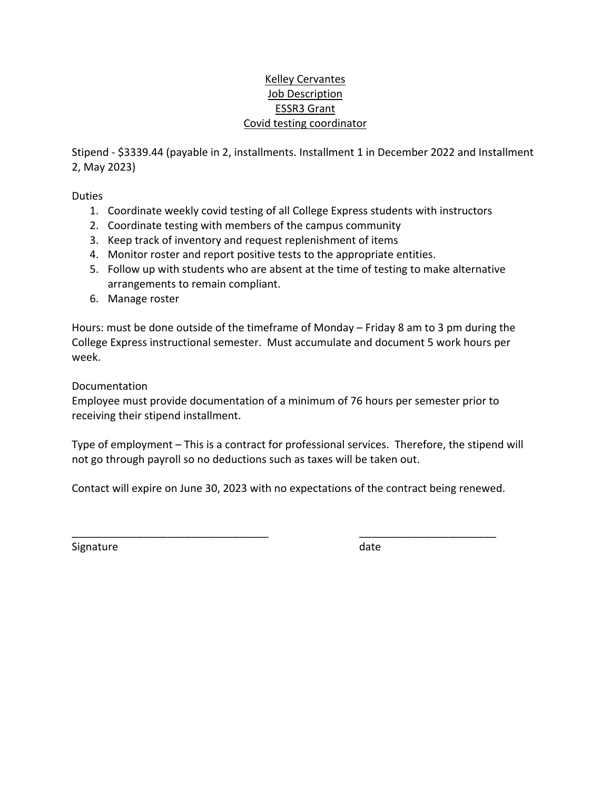# Kelley Cervantes Job Description ESSR3 Grant Covid testing coordinator

Stipend ‐ \$3339.44 (payable in 2, installments. Installment 1 in December 2022 and Installment 2, May 2023)

Duties

- 1. Coordinate weekly covid testing of all College Express students with instructors
- 2. Coordinate testing with members of the campus community
- 3. Keep track of inventory and request replenishment of items
- 4. Monitor roster and report positive tests to the appropriate entities.
- 5. Follow up with students who are absent at the time of testing to make alternative arrangements to remain compliant.
- 6. Manage roster

Hours: must be done outside of the timeframe of Monday – Friday 8 am to 3 pm during the College Express instructional semester. Must accumulate and document 5 work hours per week.

Documentation

Employee must provide documentation of a minimum of 76 hours per semester prior to receiving their stipend installment.

Type of employment – This is a contract for professional services. Therefore, the stipend will not go through payroll so no deductions such as taxes will be taken out.

Contact will expire on June 30, 2023 with no expectations of the contract being renewed.

\_\_\_\_\_\_\_\_\_\_\_\_\_\_\_\_\_\_\_\_\_\_\_\_\_\_\_\_\_\_\_\_\_ \_\_\_\_\_\_\_\_\_\_\_\_\_\_\_\_\_\_\_\_\_\_\_